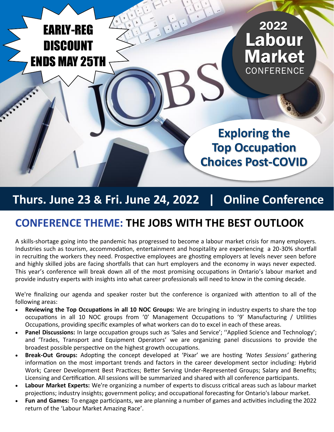# EARLY-REG **DISCOUNT** ENDS MAY 25TH



**Exploring the Top Occupation Choices Post-COVID**

## **Thurs. June 23 & Fri. June 24, 2022 | Online Conference**

## **CONFERENCE THEME: THE JOBS WITH THE BEST OUTLOOK**

A skills-shortage going into the pandemic has progressed to become a labour market crisis for many employers. Industries such as tourism, accommodation, entertainment and hospitality are experiencing a 20-30% shortfall in recruiting the workers they need. Prospective employees are ghosting employers at levels never seen before and highly skilled jobs are facing shortfalls that can hurt employers and the economy in ways never expected. This year's conference will break down all of the most promising occupations in Ontario's labour market and provide industry experts with insights into what career professionals will need to know in the coming decade.

We're finalizing our agenda and speaker roster but the conference is organized with attention to all of the following areas:

- **Reviewing the Top Occupations in all 10 NOC Groups:** We are bringing in industry experts to share the top occupations in all 10 NOC groups from '0' Management Occupations to '9' Manufacturing / Utilities Occupations, providing specific examples of what workers can do to excel in each of these areas.
- **Panel Discussions:** In large occupation groups such as 'Sales and Service'; ''Applied Science and Technology'; and 'Trades, Transport and Equipment Operators' we are organizing panel discussions to provide the broadest possible perspective on the highest growth occupations.
- **Break-Out Groups:** Adopting the concept developed at 'Pixar' we are hosting *'Notes Sessions'* gathering information on the most important trends and factors in the career development sector including: Hybrid Work; Career Development Best Practices; Better Serving Under-Represented Groups; Salary and Benefits; Licensing and Certification. All sessions will be summarized and shared with all conference participants.
- **Labour Market Experts:** We're organizing a number of experts to discuss critical areas such as labour market projections; industry insights; government policy; and occupational forecasting for Ontario's labour market.
- **Fun and Games:** To engage participants, we are planning a number of games and activities including the 2022 return of the 'Labour Market Amazing Race'.